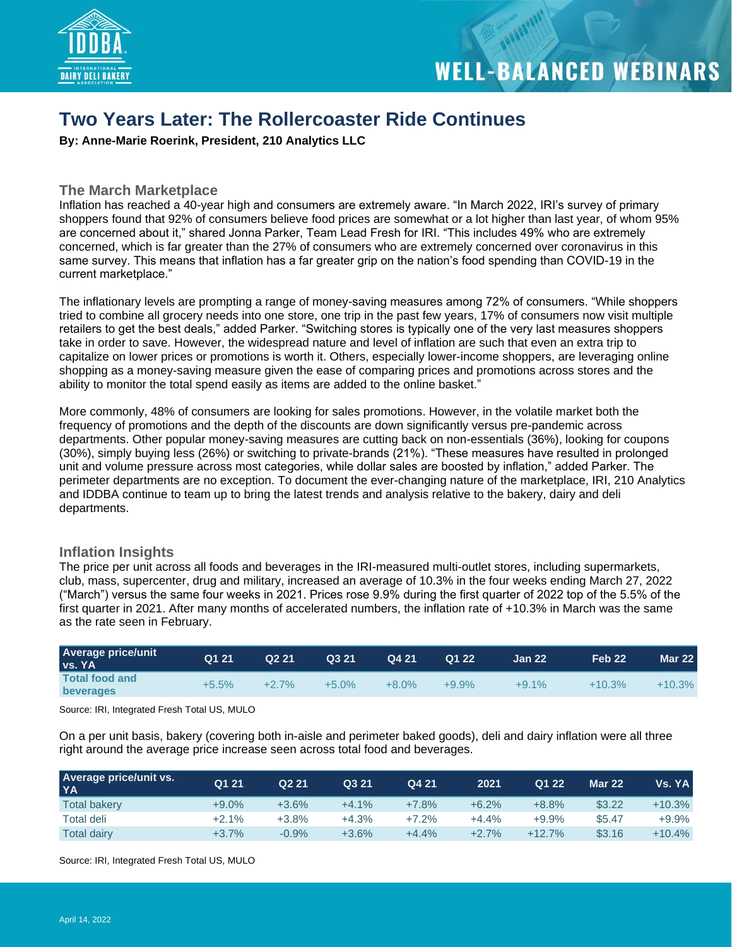

### **Two Years Later: The Rollercoaster Ride Continues**

**By: Anne-Marie Roerink, President, 210 Analytics LLC**

#### **The March Marketplace**

Inflation has reached a 40-year high and consumers are extremely aware. "In March 2022, IRI's survey of primary shoppers found that 92% of consumers believe food prices are somewhat or a lot higher than last year, of whom 95% are concerned about it," shared Jonna Parker, Team Lead Fresh for IRI. "This includes 49% who are extremely concerned, which is far greater than the 27% of consumers who are extremely concerned over coronavirus in this same survey. This means that inflation has a far greater grip on the nation's food spending than COVID-19 in the current marketplace."

The inflationary levels are prompting a range of money-saving measures among 72% of consumers. "While shoppers tried to combine all grocery needs into one store, one trip in the past few years, 17% of consumers now visit multiple retailers to get the best deals," added Parker. "Switching stores is typically one of the very last measures shoppers take in order to save. However, the widespread nature and level of inflation are such that even an extra trip to capitalize on lower prices or promotions is worth it. Others, especially lower-income shoppers, are leveraging online shopping as a money-saving measure given the ease of comparing prices and promotions across stores and the ability to monitor the total spend easily as items are added to the online basket."

More commonly, 48% of consumers are looking for sales promotions. However, in the volatile market both the frequency of promotions and the depth of the discounts are down significantly versus pre-pandemic across departments. Other popular money-saving measures are cutting back on non-essentials (36%), looking for coupons (30%), simply buying less (26%) or switching to private-brands (21%). "These measures have resulted in prolonged unit and volume pressure across most categories, while dollar sales are boosted by inflation," added Parker. The perimeter departments are no exception. To document the ever-changing nature of the marketplace, IRI, 210 Analytics and IDDBA continue to team up to bring the latest trends and analysis relative to the bakery, dairy and deli departments.

#### **Inflation Insights**

The price per unit across all foods and beverages in the IRI-measured multi-outlet stores, including supermarkets, club, mass, supercenter, drug and military, increased an average of 10.3% in the four weeks ending March 27, 2022 ("March") versus the same four weeks in 2021. Prices rose 9.9% during the first quarter of 2022 top of the 5.5% of the first quarter in 2021. After many months of accelerated numbers, the inflation rate of +10.3% in March was the same as the rate seen in February.

| <b>Average price/unit</b><br><b>vs. YA</b> | Q1 21   | Q <sub>2</sub> 21 | Q321     | Q421     | Q1 22   | <b>Jan 22</b> | Feb 22   | <b>Mar 22</b> |
|--------------------------------------------|---------|-------------------|----------|----------|---------|---------------|----------|---------------|
| <b>Total food and</b><br>beverages         | $+5.5%$ | $+2.7%$           | $+5.0\%$ | $+8.0\%$ | $+9.9%$ | $+9.1%$       | $+10.3%$ | $+10.3%$      |

Source: IRI, Integrated Fresh Total US, MULO

On a per unit basis, bakery (covering both in-aisle and perimeter baked goods), deli and dairy inflation were all three right around the average price increase seen across total food and beverages.

| <b>Average price/unit vs.</b><br><b>YA</b> | Q1 21    | Q <sub>2</sub> 21 | Q3 21   | Q4 21   | 2021    | Q1 22    | <b>Mar 22</b> | Vs. YA l |
|--------------------------------------------|----------|-------------------|---------|---------|---------|----------|---------------|----------|
| <b>Total bakery</b>                        | $+9.0\%$ | $+3.6%$           | $+4.1%$ | $+7.8%$ | $+6.2%$ | $+8.8%$  | \$3.22        | $+10.3%$ |
| Total deli                                 | $+2.1%$  | $+3.8%$           | $+4.3%$ | $+7.2%$ | $+4.4%$ | $+9.9%$  | \$5.47        | $+9.9%$  |
| Total dairy                                | $+3.7%$  | $-0.9%$           | $+3.6%$ | $+4.4%$ | $+2.7%$ | $+12.7%$ | \$3.16        | $+10.4%$ |

Source: IRI, Integrated Fresh Total US, MULO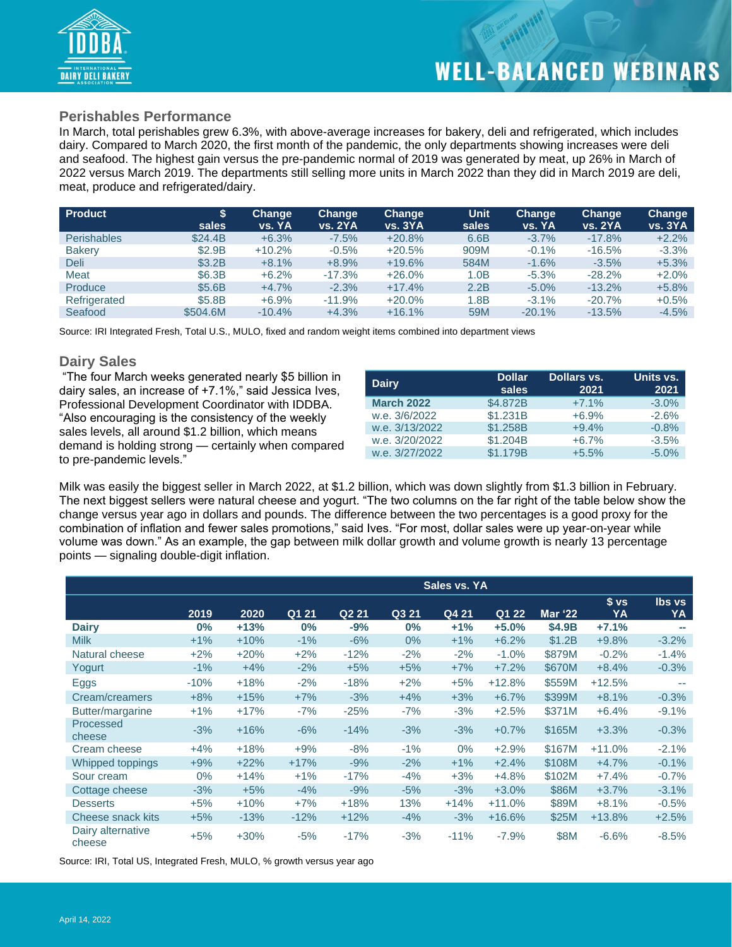

#### **Perishables Performance**

In March, total perishables grew 6.3%, with above-average increases for bakery, deli and refrigerated, which includes dairy. Compared to March 2020, the first month of the pandemic, the only departments showing increases were deli and seafood. The highest gain versus the pre-pandemic normal of 2019 was generated by meat, up 26% in March of 2022 versus March 2019. The departments still selling more units in March 2022 than they did in March 2019 are deli, meat, produce and refrigerated/dairy.

| <b>Product</b>     |          | <b>Change</b> | Change         | Change         | <b>Unit</b> | Change    | <b>Change</b>  | Change  |
|--------------------|----------|---------------|----------------|----------------|-------------|-----------|----------------|---------|
|                    | sales    | vs. YA        | <b>vs. 2YA</b> | <b>vs. 3YA</b> | sales       | vs. YA    | <b>vs. 2YA</b> | vs. 3YA |
| <b>Perishables</b> | \$24.4B  | $+6.3%$       | $-7.5%$        | $+20.8%$       | 6.6B        | $-3.7\%$  | $-17.8\%$      | $+2.2%$ |
| <b>Bakery</b>      | \$2.9B   | $+10.2%$      | $-0.5%$        | $+20.5%$       | 909M        | $-0.1\%$  | $-16.5%$       | $-3.3%$ |
| Deli               | \$3.2B   | $+8.1%$       | $+8.9%$        | $+19.6%$       | 584M        | $-1.6%$   | $-3.5%$        | $+5.3%$ |
| Meat               | \$6.3B   | $+6.2%$       | $-17.3%$       | $+26.0%$       | 1.0B        | $-5.3\%$  | $-28.2%$       | $+2.0%$ |
| Produce            | \$5.6B   | $+4.7%$       | $-2.3%$        | $+17.4%$       | 2.2B        | $-5.0\%$  | $-13.2%$       | $+5.8%$ |
| Refrigerated       | \$5.8B   | $+6.9%$       | $-11.9%$       | $+20.0%$       | 1.8B        | $-3.1\%$  | $-20.7%$       | $+0.5%$ |
| Seafood            | \$504.6M | $-10.4%$      | $+4.3%$        | $+16.1%$       | 59M         | $-20.1\%$ | $-13.5%$       | $-4.5%$ |

Source: IRI Integrated Fresh, Total U.S., MULO, fixed and random weight items combined into department views

#### **Dairy Sales**

"The four March weeks generated nearly \$5 billion in dairy sales, an increase of +7.1%," said Jessica Ives, Professional Development Coordinator with IDDBA. "Also encouraging is the consistency of the weekly sales levels, all around \$1.2 billion, which means demand is holding strong — certainly when compared to pre-pandemic levels."

| <b>Dairy</b>      | <b>Dollar</b><br>sales | Dollars vs.<br>2021 | Units vs.<br>2021 |
|-------------------|------------------------|---------------------|-------------------|
| <b>March 2022</b> | \$4,872B               | $+7.1%$             | $-3.0%$           |
| w.e. 3/6/2022     | \$1.231B               | $+6.9%$             | $-2.6%$           |
| w.e. 3/13/2022    | \$1,258B               | $+9.4%$             | $-0.8%$           |
| w.e. 3/20/2022    | \$1,204B               | $+6.7%$             | $-3.5%$           |
| w.e. 3/27/2022    | \$1.179B               | $+5.5%$             | $-5.0%$           |

Milk was easily the biggest seller in March 2022, at \$1.2 billion, which was down slightly from \$1.3 billion in February. The next biggest sellers were natural cheese and yogurt. "The two columns on the far right of the table below show the change versus year ago in dollars and pounds. The difference between the two percentages is a good proxy for the combination of inflation and fewer sales promotions," said Ives. "For most, dollar sales were up year-on-year while volume was down." As an example, the gap between milk dollar growth and volume growth is nearly 13 percentage points — signaling double-digit inflation.

|                             |        |        |        |                   |       | Sales vs. YA |          |                |                 |               |
|-----------------------------|--------|--------|--------|-------------------|-------|--------------|----------|----------------|-----------------|---------------|
|                             |        |        |        |                   |       |              |          |                | s <sub>vs</sub> | <b>lbs</b> vs |
|                             | 2019   | 2020   | Q1 21  | Q <sub>2</sub> 21 | Q3 21 | Q4 21        | Q1 22    | <b>Mar '22</b> | YA              | YA            |
| <b>Dairy</b>                | $0\%$  | $+13%$ | $0\%$  | $-9%$             | $0\%$ | $+1%$        | $+5.0%$  | \$4.9B         | $+7.1%$         | a ba          |
| <b>Milk</b>                 | $+1%$  | $+10%$ | $-1\%$ | $-6%$             | $0\%$ | $+1%$        | $+6.2%$  | \$1.2B         | $+9.8%$         | $-3.2%$       |
| Natural cheese              | $+2%$  | $+20%$ | $+2%$  | $-12%$            | $-2%$ | $-2%$        | $-1.0\%$ | \$879M         | $-0.2%$         | $-1.4%$       |
| Yogurt                      | $-1%$  | $+4%$  | $-2%$  | $+5%$             | $+5%$ | $+7%$        | $+7.2%$  | \$670M         | $+8.4%$         | $-0.3%$       |
| Eggs                        | $-10%$ | $+18%$ | $-2%$  | $-18%$            | $+2%$ | $+5%$        | $+12.8%$ | \$559M         | $+12.5%$        |               |
| Cream/creamers              | $+8%$  | $+15%$ | $+7%$  | $-3%$             | $+4%$ | $+3%$        | $+6.7%$  | \$399M         | $+8.1%$         | $-0.3%$       |
| Butter/margarine            | $+1%$  | $+17%$ | $-7%$  | $-25%$            | $-7%$ | $-3%$        | $+2.5%$  | \$371M         | $+6.4%$         | $-9.1%$       |
| Processed<br>cheese         | $-3%$  | $+16%$ | $-6%$  | $-14%$            | $-3%$ | $-3%$        | $+0.7%$  | \$165M         | $+3.3%$         | $-0.3%$       |
| Cream cheese                | $+4%$  | $+18%$ | $+9%$  | $-8%$             | $-1%$ | $0\%$        | $+2.9%$  | \$167M         | $+11.0%$        | $-2.1%$       |
| Whipped toppings            | $+9%$  | $+22%$ | $+17%$ | $-9%$             | $-2%$ | $+1%$        | $+2.4%$  | \$108M         | $+4.7%$         | $-0.1%$       |
| Sour cream                  | $0\%$  | $+14%$ | $+1%$  | $-17%$            | $-4%$ | $+3%$        | $+4.8%$  | \$102M         | $+7.4%$         | $-0.7%$       |
| Cottage cheese              | $-3%$  | $+5%$  | $-4%$  | $-9%$             | $-5%$ | $-3%$        | $+3.0%$  | \$86M          | $+3.7%$         | $-3.1%$       |
| <b>Desserts</b>             | $+5%$  | $+10%$ | $+7%$  | $+18%$            | 13%   | $+14%$       | $+11.0%$ | \$89M          | $+8.1%$         | $-0.5%$       |
| Cheese snack kits           | $+5%$  | $-13%$ | $-12%$ | $+12%$            | $-4%$ | $-3%$        | $+16.6%$ | \$25M          | $+13.8%$        | $+2.5%$       |
| Dairy alternative<br>cheese | $+5%$  | $+30%$ | $-5%$  | $-17%$            | $-3%$ | $-11%$       | $-7.9%$  | \$8M           | $-6.6%$         | $-8.5%$       |

Source: IRI, Total US, Integrated Fresh, MULO, % growth versus year ago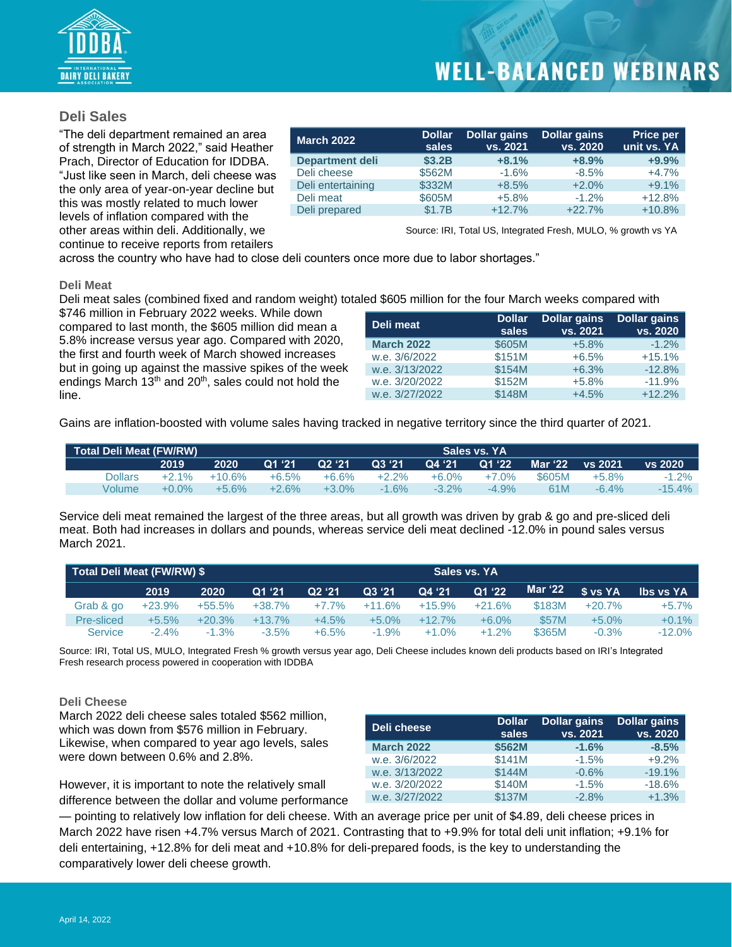

#### **Deli Sales**

"The deli department remained an area of strength in March 2022," said Heather Prach, Director of Education for IDDBA. "Just like seen in March, deli cheese was the only area of year-on-year decline but this was mostly related to much lower levels of inflation compared with the other areas within deli. Additionally, we continue to receive reports from retailers

| <b>March 2022</b>      | <b>Dollar</b><br>sales | <b>Dollar gains</b><br>vs. 2021 | <b>Dollar gains</b><br>vs. 2020 | <b>Price per</b><br>unit vs. YA |
|------------------------|------------------------|---------------------------------|---------------------------------|---------------------------------|
| <b>Department deli</b> | \$3.2B                 | $+8.1%$                         | $+8.9%$                         | $+9.9%$                         |
| Deli cheese            | \$562M                 | $-1.6%$                         | $-8.5%$                         | $+4.7%$                         |
| Deli entertaining      | \$332M                 | $+8.5%$                         | $+2.0%$                         | $+9.1%$                         |
| Deli meat              | \$605M                 | $+5.8%$                         | $-1.2\%$                        | $+12.8%$                        |
| Deli prepared          | \$1.7B                 | $+12.7%$                        | $+22.7%$                        | $+10.8%$                        |
|                        |                        |                                 |                                 |                                 |

Source: IRI, Total US, Integrated Fresh, MULO, % growth vs YA

across the country who have had to close deli counters once more due to labor shortages."

#### **Deli Meat**

Deli meat sales (combined fixed and random weight) totaled \$605 million for the four March weeks compared with

\$746 million in February 2022 weeks. While down compared to last month, the \$605 million did mean a 5.8% increase versus year ago. Compared with 2020, the first and fourth week of March showed increases but in going up against the massive spikes of the week endings March  $13<sup>th</sup>$  and  $20<sup>th</sup>$ , sales could not hold the line.

| Deli meat         | <b>Dollar</b><br>sales | <b>Dollar gains</b><br>vs. 2021 | <b>Dollar gains</b><br>vs. 2020 |
|-------------------|------------------------|---------------------------------|---------------------------------|
| <b>March 2022</b> | \$605M                 | $+5.8%$                         | $-1.2%$                         |
| w.e. 3/6/2022     | \$151M                 | $+6.5%$                         | $+15.1%$                        |
| w.e. 3/13/2022    | \$154M                 | $+6.3%$                         | $-12.8%$                        |
| w.e. 3/20/2022    | \$152M                 | $+5.8%$                         | $-11.9%$                        |
| w.e. 3/27/2022    | \$148M                 | $+4.5%$                         | $+12.2%$                        |

Gains are inflation-boosted with volume sales having tracked in negative territory since the third quarter of 2021.

| <b>Total Deli Meat (FW/RW)</b> |          |          | Sales vs. YA |          |          |          |          |         |          |          |  |
|--------------------------------|----------|----------|--------------|----------|----------|----------|----------|---------|----------|----------|--|
|                                | 2019     | 2020     | Q1 '21       | Q2'21    | Q3 '21   | Q4 '21   | Q1'22    | Mar '22 | vs 2021  | vs 2020  |  |
| Dollars                        | $+2.1\%$ | $+10.6%$ | $+6.5%$      | $+6.6%$  | $+2.2\%$ | $+6.0\%$ | $+7.0%$  | \$605M  | $+5.8%$  | $-1.2\%$ |  |
| Volume                         | $+0.0\%$ | $+5.6%$  | $+2.6%$      | $+3.0\%$ | $-1.6\%$ | $-3.2\%$ | $-4.9\%$ | 61M     | $-6.4\%$ | -15.4%   |  |

Service deli meat remained the largest of the three areas, but all growth was driven by grab & go and pre-sliced deli meat. Both had increases in dollars and pounds, whereas service deli meat declined -12.0% in pound sales versus March 2021.

| Total Deli Meat (FW/RW) \$ |          |          |           |                    |          |          | Sales vs. YA |         |           |           |
|----------------------------|----------|----------|-----------|--------------------|----------|----------|--------------|---------|-----------|-----------|
|                            | 2019     | 2020     | Q1 '21    | Q <sub>2</sub> '21 | Q3 '21   | Q4 '21   | Q1 '22       | Mar '22 | \$ vs YA  | lbs vs YA |
| Grab & go                  | $+23.9%$ | +55.5%   | $+38.7\%$ | $+7.7%$            | $+11.6%$ | +15.9%   | $+21.6%$     | \$183M  | $+20.7\%$ | $+5.7%$   |
| Pre-sliced                 | $+5.5%$  | $+20.3%$ | $+13.7\%$ | $+4.5%$            | $+5.0\%$ | $+12.7%$ | $+6.0%$      | \$57M   | $+5.0%$   | $+0.1%$   |
| <b>Service</b>             | $-2.4\%$ | $-1.3\%$ | $-3.5%$   | $+6.5%$            | $-1.9%$  | $+1.0\%$ | $+1.2%$      | \$365M  | $-0.3%$   | $-12.0\%$ |

Source: IRI, Total US, MULO, Integrated Fresh % growth versus year ago, Deli Cheese includes known deli products based on IRI's Integrated Fresh research process powered in cooperation with IDDBA

#### **Deli Cheese**

March 2022 deli cheese sales totaled \$562 million, which was down from \$576 million in February. Likewise, when compared to year ago levels, sales were down between 0.6% and 2.8%.

However, it is important to note the relatively small difference between the dollar and volume performance

| Deli cheese       | <b>Dollar</b><br>sales | <b>Dollar gains</b><br>vs. 2021 | <b>Dollar gains</b><br>vs. 2020 |
|-------------------|------------------------|---------------------------------|---------------------------------|
| <b>March 2022</b> | \$562M                 | $-1.6%$                         | $-8.5%$                         |
| w.e. 3/6/2022     | \$141M                 | $-1.5%$                         | $+9.2%$                         |
| w.e. 3/13/2022    | \$144M                 | $-0.6%$                         | $-19.1%$                        |
| w.e. 3/20/2022    | \$140M                 | $-1.5%$                         | $-18.6%$                        |
| w.e. 3/27/2022    | \$137M                 | $-2.8%$                         | $+1.3%$                         |

— pointing to relatively low inflation for deli cheese. With an average price per unit of \$4.89, deli cheese prices in March 2022 have risen +4.7% versus March of 2021. Contrasting that to +9.9% for total deli unit inflation; +9.1% for deli entertaining, +12.8% for deli meat and +10.8% for deli-prepared foods, is the key to understanding the comparatively lower deli cheese growth.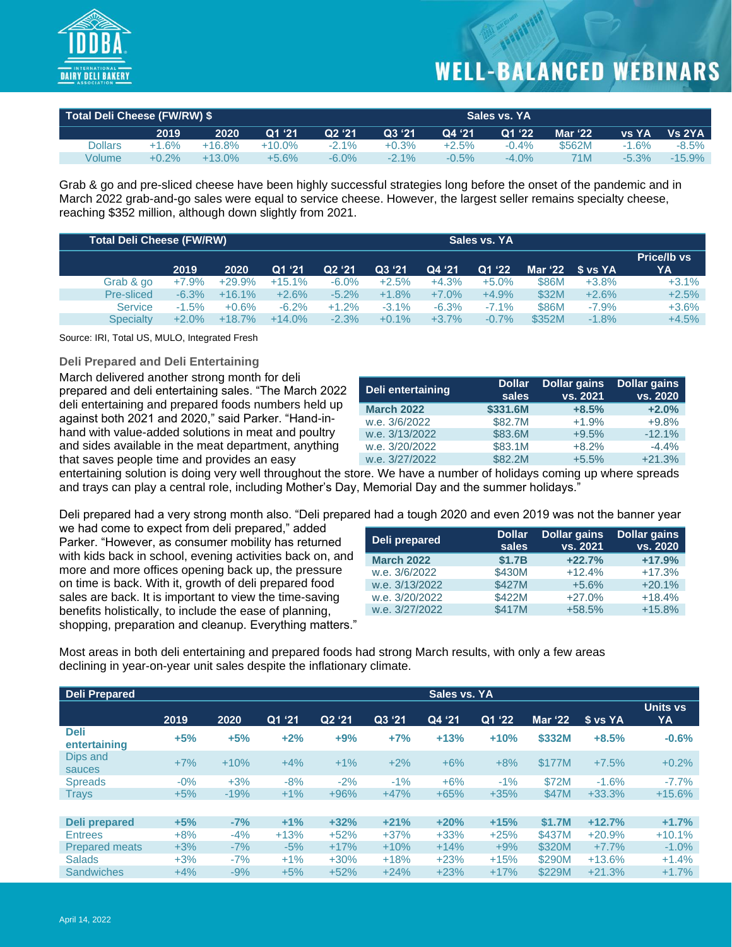

| Total Deli Cheese (FW/RW) \$ |         |           | Sales vs. YA |          |         |          |          |                |              |           |
|------------------------------|---------|-----------|--------------|----------|---------|----------|----------|----------------|--------------|-----------|
|                              | 2019    | 2020      | Q1 '21       | Q2'21    | Q3 '21  | Q4 '21   | Q1 '22   | <b>Mar '22</b> | <b>VS YA</b> | Vs 2YA    |
| Dollars                      | $+1.6%$ | $+16.8%$  | $+10.0\%$    | $-2.1\%$ | $+0.3%$ | $+2.5%$  | $-0.4%$  | \$562M         | $-1.6%$      | $-8.5%$   |
| Volume                       | $+0.2%$ | $+13.0\%$ | $+5.6\%$     | $-6.0\%$ | $-2.1%$ | $-0.5\%$ | $-4.0\%$ | 71M            | $-5.3%$      | $-15.9\%$ |

Grab & go and pre-sliced cheese have been highly successful strategies long before the onset of the pandemic and in March 2022 grab-and-go sales were equal to service cheese. However, the largest seller remains specialty cheese, reaching \$352 million, although down slightly from 2021.

| <b>Total Deli Cheese (FW/RW)</b> |         | Sales vs. YA |          |          |          |          |          |              |                      |                   |
|----------------------------------|---------|--------------|----------|----------|----------|----------|----------|--------------|----------------------|-------------------|
|                                  | 2019    | 2020         | Q1'21    | Q2 '21   | Q3 '21   | Q4 '21   | Q1 '22   |              | Mar $'22$ \$ vs $YA$ | Price/Ib vs<br>YA |
| Grab & go                        | $+7.9%$ | $+29.9%$     | $+15.1%$ | $-6.0\%$ | $+2.5%$  | $+4.3%$  | $+5.0%$  | <b>\$86M</b> | $+3.8%$              | $+3.1%$           |
| Pre-sliced                       | $-6.3%$ | $+16.1%$     | $+2.6%$  | $-5.2%$  | $+1.8%$  | $+7.0\%$ | $+4.9%$  | \$32M        | $+2.6%$              | $+2.5%$           |
| <b>Service</b>                   | $-1.5%$ | $+0.6%$      | $-6.2\%$ | $+1.2%$  | $-3.1\%$ | $-6.3%$  | $-7.1\%$ | <b>\$86M</b> | $-7.9%$              | $+3.6%$           |
| <b>Specialty</b>                 | $+2.0%$ | $+18.7%$     | $+14.0%$ | $-2.3%$  | $+0.1%$  | $+3.7%$  | $-0.7%$  | \$352M       | $-1.8%$              | $+4.5%$           |

Source: IRI, Total US, MULO, Integrated Fresh

#### **Deli Prepared and Deli Entertaining**

March delivered another strong month for deli prepared and deli entertaining sales. "The March 2022 deli entertaining and prepared foods numbers held up against both 2021 and 2020," said Parker. "Hand-inhand with value-added solutions in meat and poultry and sides available in the meat department, anything that saves people time and provides an easy

| Deli entertaining | <b>Dollar</b><br>sales | <b>Dollar gains</b><br>vs. 2021 | <b>Dollar gains</b><br>vs. 2020 |
|-------------------|------------------------|---------------------------------|---------------------------------|
| <b>March 2022</b> | \$331.6M               | $+8.5%$                         | $+2.0%$                         |
| w.e. 3/6/2022     | \$82.7M                | $+1.9%$                         | $+9.8%$                         |
| w.e. 3/13/2022    | \$83.6M                | $+9.5%$                         | $-12.1%$                        |
| w.e. 3/20/2022    | \$83.1M                | $+8.2%$                         | $-4.4%$                         |
| w.e. 3/27/2022    | \$82.2M                | $+5.5%$                         | $+21.3%$                        |

entertaining solution is doing very well throughout the store. We have a number of holidays coming up where spreads and trays can play a central role, including Mother's Day, Memorial Day and the summer holidays."

Deli prepared had a very strong month also. "Deli prepared had a tough 2020 and even 2019 was not the banner year

we had come to expect from deli prepared," added Parker. "However, as consumer mobility has returned with kids back in school, evening activities back on, and more and more offices opening back up, the pressure on time is back. With it, growth of deli prepared food sales are back. It is important to view the time-saving benefits holistically, to include the ease of planning, shopping, preparation and cleanup. Everything matters."

| Deli prepared     | <b>Dollar</b><br>sales | Dollar gains<br>vs. 2021 | <b>Dollar gains</b><br>vs. 2020 |
|-------------------|------------------------|--------------------------|---------------------------------|
| <b>March 2022</b> | \$1.7B                 | $+22.7%$                 | $+17.9%$                        |
| w.e. 3/6/2022     | \$430M                 | $+12.4%$                 | $+17.3%$                        |
| w.e. 3/13/2022    | \$427M                 | $+5.6%$                  | $+20.1%$                        |
| w.e. 3/20/2022    | \$422M                 | $+27.0%$                 | $+18.4%$                        |
| w.e. 3/27/2022    | \$417M                 | +58.5%                   | $+15.8%$                        |

Most areas in both deli entertaining and prepared foods had strong March results, with only a few areas declining in year-on-year unit sales despite the inflationary climate.

| <b>Deli Prepared</b>        |        | Sales vs. YA |        |                    |        |        |        |                |          |                |
|-----------------------------|--------|--------------|--------|--------------------|--------|--------|--------|----------------|----------|----------------|
|                             | 2019   | 2020         | Q1 '21 | Q <sub>2</sub> '21 | Q3 '21 | Q4 '21 | Q1 '22 | <b>Mar '22</b> | \$ vs YA | Units vs<br>YA |
| <b>Deli</b><br>entertaining | $+5%$  | $+5%$        | $+2%$  | $+9%$              | $+7%$  | $+13%$ | $+10%$ | \$332M         | $+8.5%$  | $-0.6%$        |
| Dips and<br>sauces          | $+7%$  | $+10%$       | $+4%$  | $+1%$              | $+2%$  | $+6%$  | $+8%$  | \$177M         | $+7.5%$  | $+0.2%$        |
| <b>Spreads</b>              | $-0\%$ | $+3%$        | $-8%$  | $-2%$              | $-1%$  | $+6%$  | $-1\%$ | \$72M          | $-1.6%$  | $-7.7%$        |
| <b>Trays</b>                | $+5%$  | $-19%$       | $+1%$  | $+96%$             | $+47%$ | $+65%$ | $+35%$ | \$47M          | $+33.3%$ | $+15.6%$       |
|                             |        |              |        |                    |        |        |        |                |          |                |
| Deli prepared               | $+5%$  | $-7%$        | $+1\%$ | $+32%$             | $+21%$ | $+20%$ | $+15%$ | \$1.7M         | $+12.7%$ | $+1.7%$        |
| <b>Entrees</b>              | $+8%$  | $-4%$        | $+13%$ | $+52%$             | $+37%$ | $+33%$ | $+25%$ | \$437M         | $+20.9%$ | $+10.1%$       |
| <b>Prepared meats</b>       | $+3%$  | $-7%$        | $-5%$  | $+17%$             | $+10%$ | $+14%$ | $+9%$  | \$320M         | $+7.7%$  | $-1.0\%$       |
| <b>Salads</b>               | $+3%$  | $-7%$        | $+1\%$ | $+30%$             | $+18%$ | $+23%$ | $+15%$ | \$290M         | $+13.6%$ | $+1.4%$        |
| <b>Sandwiches</b>           | $+4%$  | $-9%$        | $+5%$  | $+52%$             | $+24%$ | $+23%$ | $+17%$ | \$229M         | $+21.3%$ | $+1.7%$        |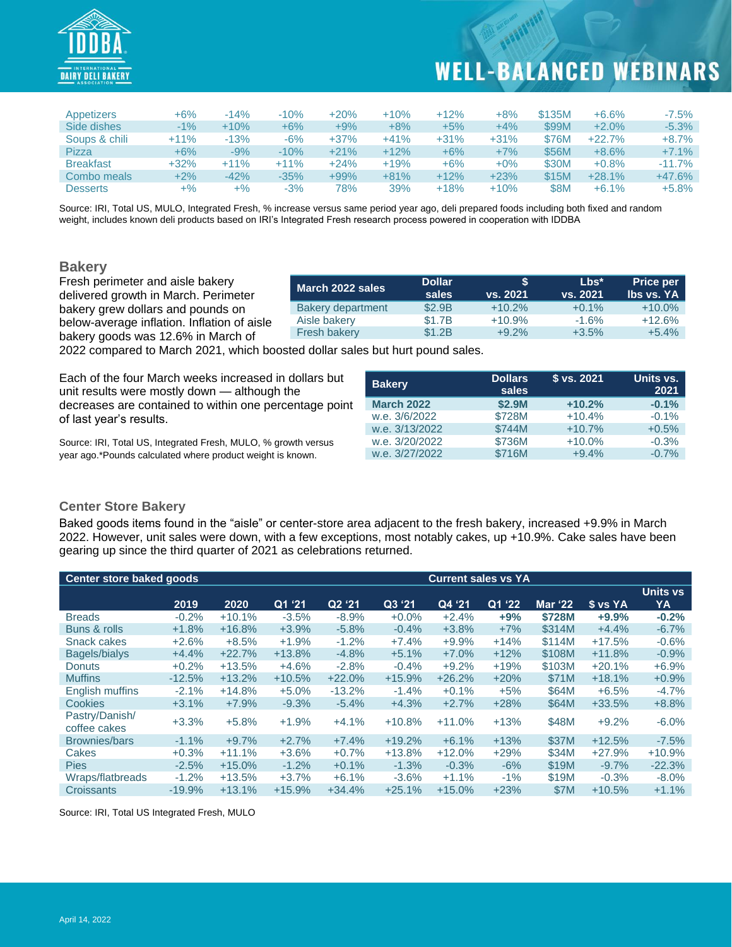

| Appetizers       | $+6%$  | $-14%$ | $-10%$ | $+20%$ | $+10%$ | $+12%$ | $+8%$  | \$135M      | $+6.6%$  | $-7.5%$  |
|------------------|--------|--------|--------|--------|--------|--------|--------|-------------|----------|----------|
| Side dishes      | $-1\%$ | $+10%$ | $+6%$  | $+9%$  | $+8%$  | $+5%$  | $+4%$  | \$99M       | $+2.0%$  | $-5.3%$  |
| Soups & chili    | $+11%$ | $-13%$ | -6%    | $+37%$ | $+41%$ | $+31%$ | $+31%$ | \$76M       | $+22.7%$ | $+8.7%$  |
| <b>Pizza</b>     | $+6%$  | -9%    | $-10%$ | $+21%$ | $+12%$ | $+6%$  | $+7%$  | \$56M       | $+8.6%$  | $+7.1%$  |
| <b>Breakfast</b> | $+32%$ | $+11%$ | $+11%$ | $+24%$ | $+19%$ | $+6%$  | $+0\%$ | \$30M       | $+0.8%$  | $-11.7%$ |
| Combo meals      | $+2%$  | $-42%$ | $-35%$ | +99%   | $+81%$ | $+12%$ | $+23%$ | \$15M       | $+28.1%$ | $+47.6%$ |
| <b>Desserts</b>  | +%     | $+$ %  | $-3%$  | 78%    | 39%    | $+18%$ | $+10%$ | <b>\$8M</b> | $+6.1%$  | $+5.8%$  |

Source: IRI, Total US, MULO, Integrated Fresh, % increase versus same period year ago, deli prepared foods including both fixed and random weight, includes known deli products based on IRI's Integrated Fresh research process powered in cooperation with IDDBA

#### **Bakery**

Fresh perimeter and aisle bakery delivered growth in March. Perimeter bakery grew dollars and pounds on below-average inflation. Inflation of aisle bakery goods was 12.6% in March of

| March 2022 sales         | <b>Dollar</b><br>sales | S<br><u>vs. 2021</u> | $Lbs^*$<br>vs. 2021 | <b>Price per</b><br><b>Ibs vs. YA</b> |
|--------------------------|------------------------|----------------------|---------------------|---------------------------------------|
| <b>Bakery department</b> | \$2.9B                 | $+10.2%$             | $+0.1%$             | $+10.0\%$                             |
| Aisle bakery             | \$1.7B                 | $+10.9%$             | $-1.6%$             | $+12.6%$                              |
| <b>Fresh bakery</b>      | \$1.2B                 | $+9.2%$              | $+3.5%$             | $+5.4%$                               |

2022 compared to March 2021, which boosted dollar sales but hurt pound sales.

Each of the four March weeks increased in dollars but unit results were mostly down — although the decreases are contained to within one percentage point of last year's results.

Source: IRI, Total US, Integrated Fresh, MULO, % growth versus year ago.\*Pounds calculated where product weight is known.

| <b>Bakery</b>     | <b>Dollars</b><br>sales | \$ vs. 2021 | Units vs.<br>2021 |
|-------------------|-------------------------|-------------|-------------------|
| <b>March 2022</b> | \$2.9M                  | $+10.2%$    | $-0.1%$           |
| w.e. 3/6/2022     | \$728M                  | $+10.4%$    | $-0.1%$           |
| w.e. 3/13/2022    | \$744M                  | $+10.7%$    | $+0.5%$           |
| w.e. 3/20/2022    | \$736M                  | $+10.0%$    | $-0.3%$           |
| w.e. 3/27/2022    | \$716M                  | $+9.4%$     | $-0.7%$           |

#### **Center Store Bakery**

Baked goods items found in the "aisle" or center-store area adjacent to the fresh bakery, increased +9.9% in March 2022. However, unit sales were down, with a few exceptions, most notably cakes, up +10.9%. Cake sales have been gearing up since the third quarter of 2021 as celebrations returned.

| Center store baked goods       |          | <b>Current sales vs YA</b> |          |          |          |          |        |                |          |          |
|--------------------------------|----------|----------------------------|----------|----------|----------|----------|--------|----------------|----------|----------|
|                                |          |                            |          |          |          |          |        |                |          | Units vs |
|                                | 2019     | 2020                       | Q1 '21   | Q2 '21   | Q3 '21   | Q4 '21   | Q1 '22 | <b>Mar '22</b> | \$ vs YA | YA       |
| <b>Breads</b>                  | $-0.2%$  | $+10.1%$                   | $-3.5%$  | $-8.9%$  | $+0.0%$  | $+2.4%$  | $+9%$  | \$728M         | $+9.9%$  | $-0.2%$  |
| Buns & rolls                   | $+1.8%$  | $+16.8%$                   | $+3.9%$  | $-5.8%$  | $-0.4%$  | $+3.8%$  | $+7%$  | \$314M         | $+4.4%$  | $-6.7%$  |
| Snack cakes                    | $+2.6%$  | $+8.5%$                    | $+1.9%$  | $-1.2%$  | $+7.4%$  | $+9.9%$  | $+14%$ | \$114M         | $+17.5%$ | $-0.6%$  |
| Bagels/bialys                  | $+4.4%$  | $+22.7%$                   | $+13.8%$ | $-4.8%$  | $+5.1%$  | $+7.0%$  | $+12%$ | \$108M         | $+11.8%$ | $-0.9%$  |
| <b>Donuts</b>                  | $+0.2%$  | $+13.5%$                   | $+4.6%$  | $-2.8%$  | $-0.4%$  | $+9.2%$  | $+19%$ | \$103M         | $+20.1%$ | $+6.9%$  |
| <b>Muffins</b>                 | $-12.5%$ | $+13.2%$                   | $+10.5%$ | $+22.0%$ | $+15.9%$ | $+26.2%$ | $+20%$ | \$71M          | $+18.1%$ | $+0.9%$  |
| English muffins                | $-2.1%$  | $+14.8%$                   | $+5.0%$  | $-13.2%$ | $-1.4%$  | $+0.1%$  | $+5%$  | \$64M          | $+6.5%$  | $-4.7%$  |
| Cookies                        | $+3.1%$  | $+7.9%$                    | $-9.3%$  | $-5.4%$  | $+4.3%$  | $+2.7%$  | $+28%$ | \$64M          | $+33.5%$ | $+8.8%$  |
| Pastry/Danish/<br>coffee cakes | $+3.3%$  | $+5.8%$                    | $+1.9%$  | $+4.1%$  | $+10.8%$ | $+11.0%$ | $+13%$ | \$48M          | $+9.2%$  | $-6.0%$  |
| <b>Brownies/bars</b>           | $-1.1%$  | $+9.7%$                    | $+2.7%$  | $+7.4%$  | $+19.2%$ | $+6.1%$  | $+13%$ | \$37M          | $+12.5%$ | $-7.5%$  |
| Cakes                          | $+0.3%$  | $+11.1%$                   | $+3.6%$  | $+0.7%$  | $+13.8%$ | $+12.0%$ | $+29%$ | \$34M          | $+27.9%$ | $+10.9%$ |
| <b>Pies</b>                    | $-2.5%$  | $+15.0%$                   | $-1.2%$  | $+0.1%$  | $-1.3%$  | $-0.3%$  | $-6%$  | \$19M          | $-9.7%$  | $-22.3%$ |
| Wraps/flatbreads               | $-1.2%$  | $+13.5%$                   | $+3.7%$  | $+6.1%$  | $-3.6%$  | $+1.1%$  | $-1\%$ | \$19M          | $-0.3%$  | $-8.0\%$ |
| Croissants                     | $-19.9%$ | $+13.1%$                   | $+15.9%$ | $+34.4%$ | $+25.1%$ | $+15.0%$ | $+23%$ | \$7M           | $+10.5%$ | $+1.1%$  |

Source: IRI, Total US Integrated Fresh, MULO